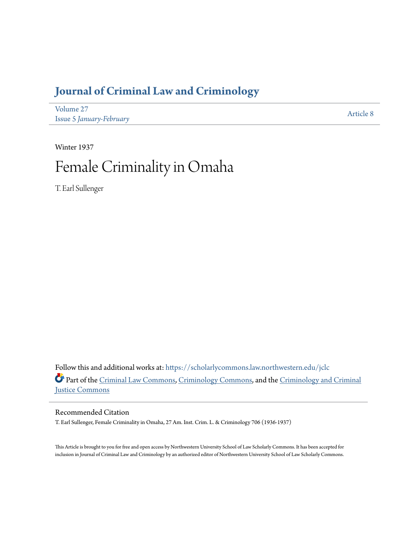# **[Journal of Criminal Law and Criminology](https://scholarlycommons.law.northwestern.edu/jclc?utm_source=scholarlycommons.law.northwestern.edu%2Fjclc%2Fvol27%2Fiss5%2F8&utm_medium=PDF&utm_campaign=PDFCoverPages)**

[Volume 27](https://scholarlycommons.law.northwestern.edu/jclc/vol27?utm_source=scholarlycommons.law.northwestern.edu%2Fjclc%2Fvol27%2Fiss5%2F8&utm_medium=PDF&utm_campaign=PDFCoverPages) Issue 5 *[January-February](https://scholarlycommons.law.northwestern.edu/jclc/vol27/iss5?utm_source=scholarlycommons.law.northwestern.edu%2Fjclc%2Fvol27%2Fiss5%2F8&utm_medium=PDF&utm_campaign=PDFCoverPages)*

[Article 8](https://scholarlycommons.law.northwestern.edu/jclc/vol27/iss5/8?utm_source=scholarlycommons.law.northwestern.edu%2Fjclc%2Fvol27%2Fiss5%2F8&utm_medium=PDF&utm_campaign=PDFCoverPages)

# Winter 1937 Female Criminality in Omaha

T. Earl Sullenger

Follow this and additional works at: [https://scholarlycommons.law.northwestern.edu/jclc](https://scholarlycommons.law.northwestern.edu/jclc?utm_source=scholarlycommons.law.northwestern.edu%2Fjclc%2Fvol27%2Fiss5%2F8&utm_medium=PDF&utm_campaign=PDFCoverPages) Part of the [Criminal Law Commons](http://network.bepress.com/hgg/discipline/912?utm_source=scholarlycommons.law.northwestern.edu%2Fjclc%2Fvol27%2Fiss5%2F8&utm_medium=PDF&utm_campaign=PDFCoverPages), [Criminology Commons](http://network.bepress.com/hgg/discipline/417?utm_source=scholarlycommons.law.northwestern.edu%2Fjclc%2Fvol27%2Fiss5%2F8&utm_medium=PDF&utm_campaign=PDFCoverPages), and the [Criminology and Criminal](http://network.bepress.com/hgg/discipline/367?utm_source=scholarlycommons.law.northwestern.edu%2Fjclc%2Fvol27%2Fiss5%2F8&utm_medium=PDF&utm_campaign=PDFCoverPages) [Justice Commons](http://network.bepress.com/hgg/discipline/367?utm_source=scholarlycommons.law.northwestern.edu%2Fjclc%2Fvol27%2Fiss5%2F8&utm_medium=PDF&utm_campaign=PDFCoverPages)

# Recommended Citation

T. Earl Sullenger, Female Criminality in Omaha, 27 Am. Inst. Crim. L. & Criminology 706 (1936-1937)

This Article is brought to you for free and open access by Northwestern University School of Law Scholarly Commons. It has been accepted for inclusion in Journal of Criminal Law and Criminology by an authorized editor of Northwestern University School of Law Scholarly Commons.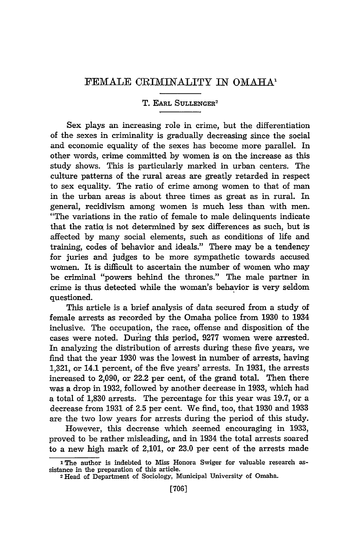## FEMALE CRIMINALITY IN OMAHA'

### T. EARL SULLENGER<sup>2</sup>

Sex plays an increasing role in crime, but the differentiation of the sexes in criminality is gradually decreasing since the social and economic equality of the sexes has become more parallel. In other words, crime committed by women is on the increase as this study shows. This is particularly marked in urban centers. The culture patterns of the rural areas are greatly retarded in respect to sex equality. The ratio of crime among women to that of man in the urban areas is about three times as great as in rural. In general, recidivism among women is much less than with men. "The variations in the ratio of female to male delinquents indicate that the ratiq is not determined by sex differences as such, but is affected by many social elements, such as conditions of life and training, codes of behavior and ideals." There may be a tendency for juries and judges to be more sympathetic towards accused women. It is difficult to ascertain the number of women who may be criminal "powers behind the thrones." The male partner in crime is thus detected while the woman's behavior is very seldom questioned.

This article is a brief analysis of data secured from a study of female arrests as recorded by the Omaha police from 1930 to 1934 inclusive. The occupation, the race, offense and disposition of the cases were noted. During this period, 9277 women were arrested. In analyzing the distribution of arrests during these five years, we find that the year 1930 was the lowest in number of arrests, having 1,321, or 14.1 percent, of the five years' arrests. In 1931, the arrests increased to 2,090, or 22.2 per cent, of the grand total. Then there was a drop in 1932, followed by another decrease in 1933, which had a total of 1,830 arrests. The percentage for this year was 19.7, or a decrease from 1931 of 2.5 per cent. We find, too, that 1930 and 1933 are the two low years for arrests during the period of this study.

However, this decrease which seemed encouraging in 1933, proved to be rather misleading, and in 1934 the total arrests soared to a new high mark of 2,101, or 23.0 per cent of the arrests made

**L** The author is indebted to Miss Honora Swiger for valuable research assistance in the preparation of this article.

**<sup>2</sup>**Head of Department of Sociology, Municipal University of Omaha.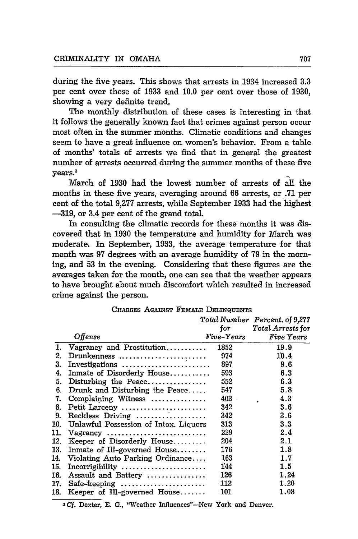during the five years. This shows that arrests in 1934 increased **3.3** per cent over those of **1933** and **10.0** per cent over those of **1930,** showing a very definite trend.

The monthly distribution of these cases is interesting in that it follows the generally known fact that crimes against person occur most often in the summer months. Climatic conditions and changes seem to have a great influence on women's behavior. From a table of months' totals of arrests we find that in general the greatest number of arrests occurred during the summer months of these five --------<br>years.<sup>3</sup>

March of **1930** had the lowest number of arrests of all the months in these five years, averaging around 66 arrests, or **.71** per cent of the total 9,277 arrests, while September 1933 had the highest -319, or 3.4 per cent of the grand total.

In consulting the climatic records for these months it was discovered that in 1930 the temperature and humidity for March was moderate. In September, 1933, the average temperature for that month was 97 degrees with an average humidity of 79 in the morning, and **53** in the evening. Considering that these figures are the averages taken for the month, one can see that the weather appears to have brought about much discomfort which resulted in increased crime against the person.

|     |                                       | for        | Total Number Percent. of 9,277<br>Total Arrests for |
|-----|---------------------------------------|------------|-----------------------------------------------------|
|     | Offense                               | Five-Years | Five Years                                          |
| 1.  | Vagrancy and Prostitution             | 1852       | 19.9                                                |
| 2.  | Drunkenness                           | 974        | 10.4                                                |
| 3.  | Investigations                        | 897        | 9.6                                                 |
| 4.  | Inmate of Disorderly House            | 593        | 6.3                                                 |
| 5.  | Disturbing the Peace                  | 552        | 6.3                                                 |
| 6.  | Drunk and Disturbing the Peace        | 547        | 5.8                                                 |
| 7.  | Complaining Witness                   | $403 -$    | 4.3                                                 |
| 8.  | Petit Larceny                         | 342        | 3.6                                                 |
| 9.  | Reckless Driving                      | 342        | 3.6                                                 |
| 10. | Unlawful Possession of Intox. Liquors | 313        | 3.3                                                 |
| 11. | Vagrancy                              | 229        | 2.4                                                 |
| 12. | Keeper of Disorderly House            | 204        | 2.1                                                 |
| 13. | In mate of Ill-governed House         | 176        | 1.8                                                 |
| 14. | Violating Auto Parking Ordinance      | 163        | 1.7                                                 |
| 15. | $Incorrightality$                     | 144        | 1.5                                                 |
| 16. | Assault and Battery                   | 126        | 1.24                                                |
| 17. | Safe-keeping                          | 112        | 1.20                                                |
| 18. | Keeper of Ill-governed House          | 101        | 1.08                                                |

CHARGES AGAINST FEMALE DELINQUENTS

**3 Cf.** Dexter, E. **G.,** "Weather Influences"-New York and Denver.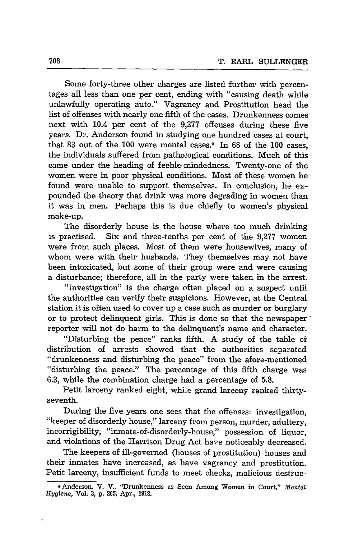Some forty-three other charges are listed further with percentages all less than one per cent, ending with "causing death while unlawfully operating auto." Vagrancy and Prostitution head the list of offenses with nearly one fifth of the cases. Drunkenness comes next with 10.4 per cent of the 9,277 offenses during these five years. Dr. Anderson found in studying one hundred cases at court, that 83 out of the **100** were mental cases. 4 In 68 of the 100 cases, the individuals suffered from pathological conditions. Much of this came under the heading of feeble-mindedness. Twenty-one of the women were in poor physical conditions. Most of these women he found were unable to support themselves. In conclusion, he expounded the theory that drink was more degrading in women than it was in men. Perhaps this is due chiefly to women's physical make-up.

TIhe disorderly house is the house where too much drinking is practised. Six and three-tenths per cent of the 9,277 women were from such places. Most of them were housewives, many of whom were with their husbands. They themselves may not have been intoxicated, but some of their group were and were causing a disturbance; therefore, all in the party were taken in the arrest.

"Investigation" is the charge often placed on a suspect until the authorities can verify their suspicions. However, at the Central station it is often used to cover up a case such as murder or burglary or to protect delinquent girls. This is done so that the newspaper' reporter will not do harm to the delinquent's name and character.

"Disturbing the peace" ranks fifth. A study of the table of distribution of arrests showed that the authorities separated "drunkenness and disturbing the peace" from the afore-mentioned "disturbing the peace." The percentage of this fifth charge was 6.3, while the combination charge had a percentage of 5.8.

Petit larceny ranked eight, while grand larceny ranked thirtyseventh.

During the five years one sees that the offenses: investigation, "keeper of disorderly house," larceny from person, murder, adultery, incorrigibility, "inmate-of-disorderly-house," possession of liquor, and violations of the Harrison Drug Act have noticeably decreased.

The keepers of ill-governed (houses of prostitution) houses and their inmates have increased, as have vagrancy and prostitution. Petit larceny, insufficient funds to meet checks, malicious destruc-

<sup>4</sup> Anderson, V. V., "Drunkenness as Seen Among Women in Court," *Mental Hygiene,* Vol. **3,** p. 265, Apr., 1918.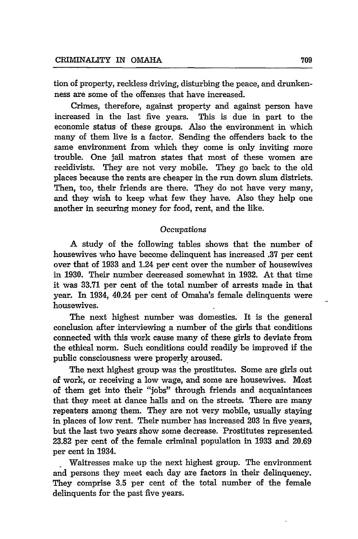tion of property, reckless driving, disturbing the peace, and drunkenness are some of the offenses that have increased.

Crimes, therefore, against property and against person have increased in the last five years. This is due in part to the economic status of these groups. Also the environment in which many of them live is a factor. Sending the offenders back to the same environment from which they come is only inviting more trouble. One jail matron states that most of these women are recidivists. They are not very mobile. They go back to the old places because the rents are cheaper in the run down slum districts. Then, too, their friends are there. They do not have very many, and they wish to keep what few they have. Also they help one another in securing money for food, rent, and the like.

#### **Occupations**

A study of the following tables shows that the number of housewives who have become delinquent has increased **.37** per cent over that of 1933 and 1.24 per cent over the number of housewives in 1930. Their number decreased somewhat in 1932. At that time it was **33.71** per cent of the total number of arrests made in that year. In 1934, 40.24 per cent of Omaha's female delinquents were housewives.

The next highest number was domestics. It is the general conclusion after interviewing a number of the girls that conditions connected with this work cause many of these girls to deviate from the ethical norm. Such conditions could readily be improved if the public consciousness were properly aroused.

The next highest group was the prostitutes. Some are girls out of work, or receiving a low wage, and some are housewives. Most of them get into their "jobs" through friends and acquaintances that they meet at dance halls and on the streets. There are many repeaters among them. They are not very mobile, usually staying in places of low rent. Their number has increased 203 in five years, but the last two years show some decrease. Prostitutes represented 23.82 per cent of the female criminal population in 1933 and 20.69 per cent in 1934.

**-** Waitresses make up the next highest group. The environment and persons they meet each day are factors in their delinquency. They comprise **3.5** per cent of the total number of the female delinquents for the past five years.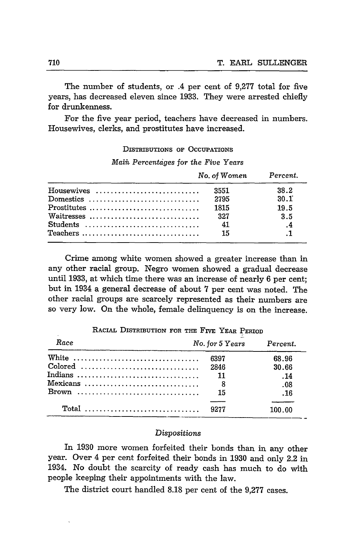The number of students, or .4 per cent of 9,277 total for five years, has decreased eleven since 1933. They were arrested chiefly for drunkenness.

For the five year period, teachers have decreased in numbers. Housewives, clerks, and prostitutes have increased.

DISTRIBUTIONS **OF OCCUPATIONS**

*Maiih Percentdges for the Five* Years

|            | No. of Women Percent. |                |
|------------|-----------------------|----------------|
| Housewives | 3551                  | 38.2           |
| Domestics  | 2795                  | 30.1           |
|            | 1815                  | 19.5           |
| Waitresses | 327                   | 3.5            |
| Students   | - 41                  | $\cdot$ .4     |
| Teachers   | 15                    | $\overline{1}$ |

Crime among white women showed a greater increase than in any other racial group. Negro women showed a gradual decrease until 1933, at which time there was an increase of nearly 6 per cent; but in 1934 a general decrease of about 7 per cent was noted. The other racial groups are scarcely represented as their numbers are so very low. On the whole, female delinquency is on the increase.

| Race                                                                          | No. for 5 Years | Percent. |
|-------------------------------------------------------------------------------|-----------------|----------|
| White                                                                         | 6397            | 68.96    |
|                                                                               | 2846            | 30.66    |
| Indians                                                                       | $\frac{11}{2}$  | .14      |
| Mexicans                                                                      | 8 <sup>1</sup>  | .08      |
| $Brown \ldots \ldots \ldots \ldots \ldots \ldots \ldots \ldots \ldots \ldots$ | 15              | . 16     |
| $Total$                                                                       | 9277            | 100.00   |
|                                                                               |                 |          |

RACIAL DISTRIBUTION **FOR** THE FIVE YEAR PERIOD

#### Dispositions

In 1930 more women forfeited their bonds than in any other year. Over 4 per cent forfeited their bonds in 1930 and only 2.2 in 1934. No doubt the scarcity of ready cash has much to do with people keeping their appointments with the law.

The district court handled 8.18 per cent of the 9,277 cases.